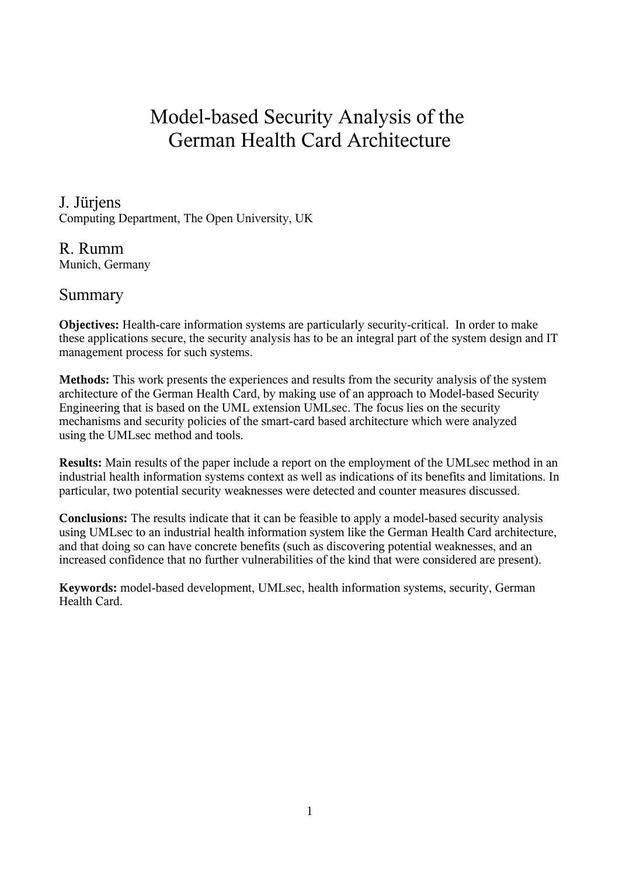# Model-based Security Analysis of the German Health Card Architecture

### J. Jürjens

Computing Department, The Open University, UK

### R. Rumm

Munich, Germany

### Summary

**Objectives:** Health-care information systems are particularly security-critical. In order to make these applications secure, the security analysis has to be an integral part of the system design and IT management process for such systems.

**Methods:** This work presents the experiences and results from the security analysis of the system architecture of the German Health Card, by making use of an approach to Model-based Security Engineering that is based on the UML extension UMLsec. The focus lies on the security mechanisms and security policies of the smart-card based architecture which were analyzed using the UMLsec method and tools.

**Results:** Main results of the paper include a report on the employment of the UMLsec method in an industrial health information systems context as well as indications of its benefits and limitations. In particular, two potential security weaknesses were detected and counter measures discussed.

**Conclusions:** The results indicate that it can be feasible to apply a model-based security analysis using UMLsec to an industrial health information system like the German Health Card architecture, and that doing so can have concrete benefits (such as discovering potential weaknesses, and an increased confidence that no further vulnerabilities of the kind that were considered are present).

**Keywords:** model-based development, UMLsec, health information systems, security, German Health Card.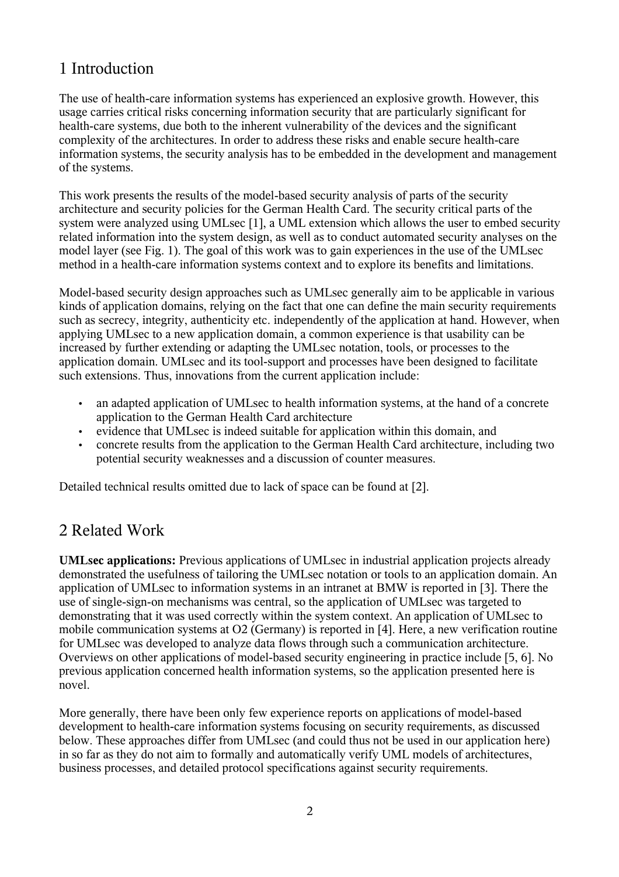## 1 Introduction

The use of health-care information systems has experienced an explosive growth. However, this usage carries critical risks concerning information security that are particularly significant for health-care systems, due both to the inherent vulnerability of the devices and the significant complexity of the architectures. In order to address these risks and enable secure health-care information systems, the security analysis has to be embedded in the development and management of the systems.

This work presents the results of the model-based security analysis of parts of the security architecture and security policies for the German Health Card. The security critical parts of the system were analyzed using UMLsec [1], a UML extension which allows the user to embed security related information into the system design, as well as to conduct automated security analyses on the model layer (see Fig. 1). The goal of this work was to gain experiences in the use of the UMLsec method in a health-care information systems context and to explore its benefits and limitations.

Model-based security design approaches such as UMLsec generally aim to be applicable in various kinds of application domains, relying on the fact that one can define the main security requirements such as secrecy, integrity, authenticity etc. independently of the application at hand. However, when applying UMLsec to a new application domain, a common experience is that usability can be increased by further extending or adapting the UMLsec notation, tools, or processes to the application domain. UMLsec and its tool-support and processes have been designed to facilitate such extensions. Thus, innovations from the current application include:

- an adapted application of UMLsec to health information systems, at the hand of a concrete application to the German Health Card architecture
- evidence that UMLsec is indeed suitable for application within this domain, and
- concrete results from the application to the German Health Card architecture, including two potential security weaknesses and a discussion of counter measures.

Detailed technical results omitted due to lack of space can be found at [2].

## 2 Related Work

**UMLsec applications:** Previous applications of UMLsec in industrial application projects already demonstrated the usefulness of tailoring the UMLsec notation or tools to an application domain. An application of UMLsec to information systems in an intranet at BMW is reported in [3]. There the use of single-sign-on mechanisms was central, so the application of UMLsec was targeted to demonstrating that it was used correctly within the system context. An application of UMLsec to mobile communication systems at O2 (Germany) is reported in [4]. Here, a new verification routine for UMLsec was developed to analyze data flows through such a communication architecture. Overviews on other applications of model-based security engineering in practice include [5, 6]. No previous application concerned health information systems, so the application presented here is novel.

More generally, there have been only few experience reports on applications of model-based development to health-care information systems focusing on security requirements, as discussed below. These approaches differ from UMLsec (and could thus not be used in our application here) in so far as they do not aim to formally and automatically verify UML models of architectures, business processes, and detailed protocol specifications against security requirements.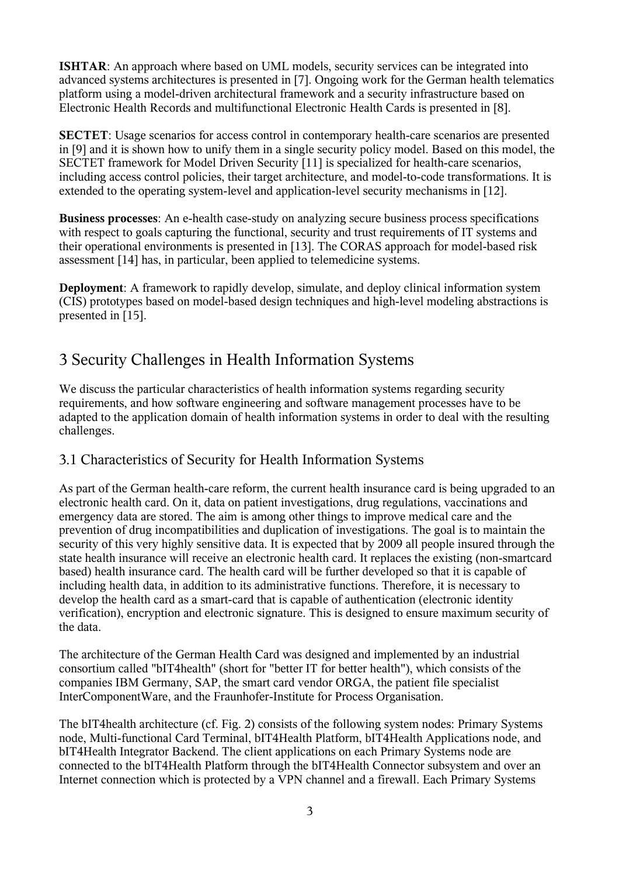**ISHTAR**: An approach where based on UML models, security services can be integrated into advanced systems architectures is presented in [7]. Ongoing work for the German health telematics platform using a model-driven architectural framework and a security infrastructure based on Electronic Health Records and multifunctional Electronic Health Cards is presented in [8].

**SECTET**: Usage scenarios for access control in contemporary health-care scenarios are presented in [9] and it is shown how to unify them in a single security policy model. Based on this model, the SECTET framework for Model Driven Security [11] is specialized for health-care scenarios, including access control policies, their target architecture, and model-to-code transformations. It is extended to the operating system-level and application-level security mechanisms in [12].

**Business processes**: An e-health case-study on analyzing secure business process specifications with respect to goals capturing the functional, security and trust requirements of IT systems and their operational environments is presented in [13]. The CORAS approach for model-based risk assessment [14] has, in particular, been applied to telemedicine systems.

**Deployment**: A framework to rapidly develop, simulate, and deploy clinical information system (CIS) prototypes based on model-based design techniques and high-level modeling abstractions is presented in [15].

## 3 Security Challenges in Health Information Systems

We discuss the particular characteristics of health information systems regarding security requirements, and how software engineering and software management processes have to be adapted to the application domain of health information systems in order to deal with the resulting challenges.

### 3.1 Characteristics of Security for Health Information Systems

As part of the German health-care reform, the current health insurance card is being upgraded to an electronic health card. On it, data on patient investigations, drug regulations, vaccinations and emergency data are stored. The aim is among other things to improve medical care and the prevention of drug incompatibilities and duplication of investigations. The goal is to maintain the security of this very highly sensitive data. It is expected that by 2009 all people insured through the state health insurance will receive an electronic health card. It replaces the existing (non-smartcard based) health insurance card. The health card will be further developed so that it is capable of including health data, in addition to its administrative functions. Therefore, it is necessary to develop the health card as a smart-card that is capable of authentication (electronic identity verification), encryption and electronic signature. This is designed to ensure maximum security of the data.

The architecture of the German Health Card was designed and implemented by an industrial consortium called "bIT4health" (short for "better IT for better health"), which consists of the companies IBM Germany, SAP, the smart card vendor ORGA, the patient file specialist InterComponentWare, and the Fraunhofer-Institute for Process Organisation.

The bIT4health architecture (cf. Fig. 2) consists of the following system nodes: Primary Systems node, Multi-functional Card Terminal, bIT4Health Platform, bIT4Health Applications node, and bIT4Health Integrator Backend. The client applications on each Primary Systems node are connected to the bIT4Health Platform through the bIT4Health Connector subsystem and over an Internet connection which is protected by a VPN channel and a firewall. Each Primary Systems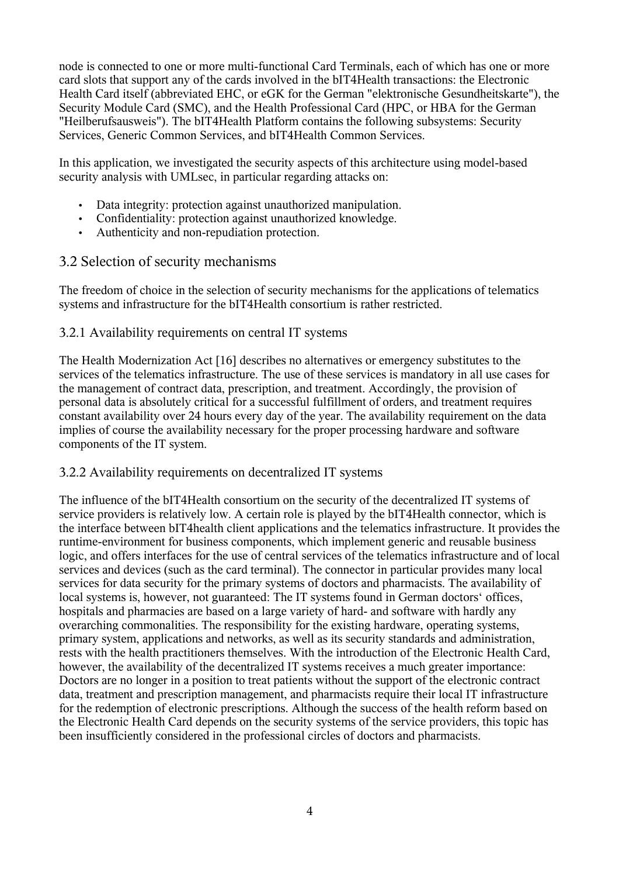node is connected to one or more multi-functional Card Terminals, each of which has one or more card slots that support any of the cards involved in the bIT4Health transactions: the Electronic Health Card itself (abbreviated EHC, or eGK for the German "elektronische Gesundheitskarte"), the Security Module Card (SMC), and the Health Professional Card (HPC, or HBA for the German "Heilberufsausweis"). The bIT4Health Platform contains the following subsystems: Security Services, Generic Common Services, and bIT4Health Common Services.

In this application, we investigated the security aspects of this architecture using model-based security analysis with UMLsec, in particular regarding attacks on:

- Data integrity: protection against unauthorized manipulation.
- Confidentiality: protection against unauthorized knowledge.
- Authenticity and non-repudiation protection.

#### 3.2 Selection of security mechanisms

The freedom of choice in the selection of security mechanisms for the applications of telematics systems and infrastructure for the bIT4Health consortium is rather restricted.

#### 3.2.1 Availability requirements on central IT systems

The Health Modernization Act [16] describes no alternatives or emergency substitutes to the services of the telematics infrastructure. The use of these services is mandatory in all use cases for the management of contract data, prescription, and treatment. Accordingly, the provision of personal data is absolutely critical for a successful fulfillment of orders, and treatment requires constant availability over 24 hours every day of the year. The availability requirement on the data implies of course the availability necessary for the proper processing hardware and software components of the IT system.

#### 3.2.2 Availability requirements on decentralized IT systems

The influence of the bIT4Health consortium on the security of the decentralized IT systems of service providers is relatively low. A certain role is played by the bIT4Health connector, which is the interface between bIT4health client applications and the telematics infrastructure. It provides the runtime-environment for business components, which implement generic and reusable business logic, and offers interfaces for the use of central services of the telematics infrastructure and of local services and devices (such as the card terminal). The connector in particular provides many local services for data security for the primary systems of doctors and pharmacists. The availability of local systems is, however, not guaranteed: The IT systems found in German doctors' offices, hospitals and pharmacies are based on a large variety of hard- and software with hardly any overarching commonalities. The responsibility for the existing hardware, operating systems, primary system, applications and networks, as well as its security standards and administration, rests with the health practitioners themselves. With the introduction of the Electronic Health Card, however, the availability of the decentralized IT systems receives a much greater importance: Doctors are no longer in a position to treat patients without the support of the electronic contract data, treatment and prescription management, and pharmacists require their local IT infrastructure for the redemption of electronic prescriptions. Although the success of the health reform based on the Electronic Health Card depends on the security systems of the service providers, this topic has been insufficiently considered in the professional circles of doctors and pharmacists.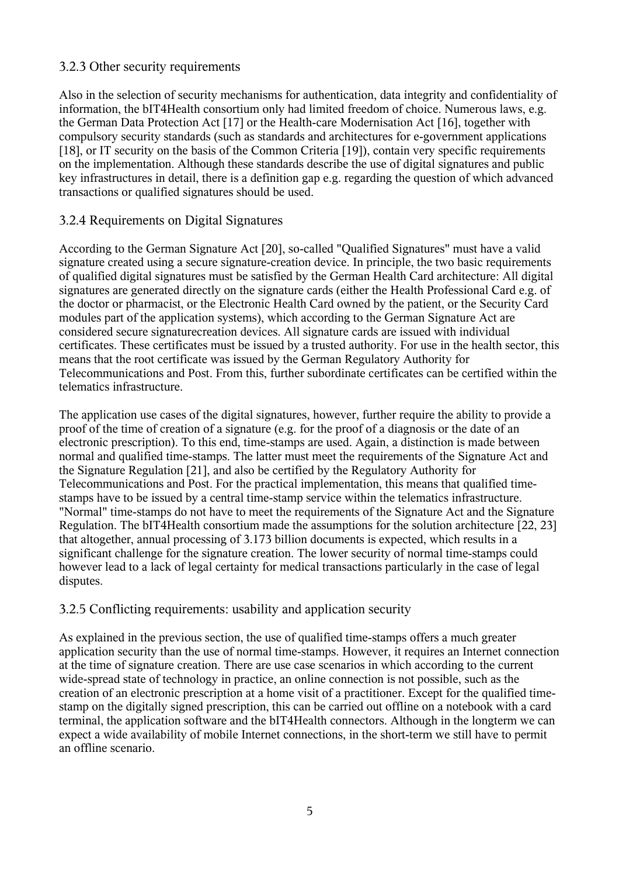#### 3.2.3 Other security requirements

Also in the selection of security mechanisms for authentication, data integrity and confidentiality of information, the bIT4Health consortium only had limited freedom of choice. Numerous laws, e.g. the German Data Protection Act [17] or the Health-care Modernisation Act [16], together with compulsory security standards (such as standards and architectures for e-government applications [18], or IT security on the basis of the Common Criteria [19]), contain very specific requirements on the implementation. Although these standards describe the use of digital signatures and public key infrastructures in detail, there is a definition gap e.g. regarding the question of which advanced transactions or qualified signatures should be used.

#### 3.2.4 Requirements on Digital Signatures

According to the German Signature Act [20], so-called "Qualified Signatures" must have a valid signature created using a secure signature-creation device. In principle, the two basic requirements of qualified digital signatures must be satisfied by the German Health Card architecture: All digital signatures are generated directly on the signature cards (either the Health Professional Card e.g. of the doctor or pharmacist, or the Electronic Health Card owned by the patient, or the Security Card modules part of the application systems), which according to the German Signature Act are considered secure signaturecreation devices. All signature cards are issued with individual certificates. These certificates must be issued by a trusted authority. For use in the health sector, this means that the root certificate was issued by the German Regulatory Authority for Telecommunications and Post. From this, further subordinate certificates can be certified within the telematics infrastructure.

The application use cases of the digital signatures, however, further require the ability to provide a proof of the time of creation of a signature (e.g. for the proof of a diagnosis or the date of an electronic prescription). To this end, time-stamps are used. Again, a distinction is made between normal and qualified time-stamps. The latter must meet the requirements of the Signature Act and the Signature Regulation [21], and also be certified by the Regulatory Authority for Telecommunications and Post. For the practical implementation, this means that qualified timestamps have to be issued by a central time-stamp service within the telematics infrastructure. "Normal" time-stamps do not have to meet the requirements of the Signature Act and the Signature Regulation. The bIT4Health consortium made the assumptions for the solution architecture [22, 23] that altogether, annual processing of 3.173 billion documents is expected, which results in a significant challenge for the signature creation. The lower security of normal time-stamps could however lead to a lack of legal certainty for medical transactions particularly in the case of legal disputes.

#### 3.2.5 Conflicting requirements: usability and application security

As explained in the previous section, the use of qualified time-stamps offers a much greater application security than the use of normal time-stamps. However, it requires an Internet connection at the time of signature creation. There are use case scenarios in which according to the current wide-spread state of technology in practice, an online connection is not possible, such as the creation of an electronic prescription at a home visit of a practitioner. Except for the qualified timestamp on the digitally signed prescription, this can be carried out offline on a notebook with a card terminal, the application software and the bIT4Health connectors. Although in the longterm we can expect a wide availability of mobile Internet connections, in the short-term we still have to permit an offline scenario.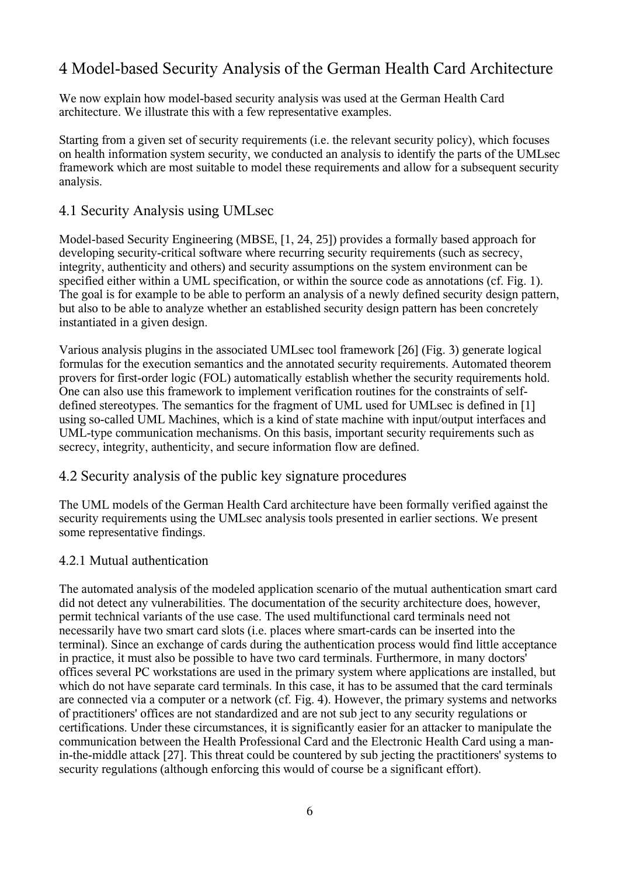## 4 Model-based Security Analysis of the German Health Card Architecture

We now explain how model-based security analysis was used at the German Health Card architecture. We illustrate this with a few representative examples.

Starting from a given set of security requirements (i.e. the relevant security policy), which focuses on health information system security, we conducted an analysis to identify the parts of the UMLsec framework which are most suitable to model these requirements and allow for a subsequent security analysis.

#### 4.1 Security Analysis using UMLsec

Model-based Security Engineering (MBSE, [1, 24, 25]) provides a formally based approach for developing security-critical software where recurring security requirements (such as secrecy, integrity, authenticity and others) and security assumptions on the system environment can be specified either within a UML specification, or within the source code as annotations (cf. Fig. 1). The goal is for example to be able to perform an analysis of a newly defined security design pattern, but also to be able to analyze whether an established security design pattern has been concretely instantiated in a given design.

Various analysis plugins in the associated UMLsec tool framework [26] (Fig. 3) generate logical formulas for the execution semantics and the annotated security requirements. Automated theorem provers for first-order logic (FOL) automatically establish whether the security requirements hold. One can also use this framework to implement verification routines for the constraints of selfdefined stereotypes. The semantics for the fragment of UML used for UMLsec is defined in [1] using so-called UML Machines, which is a kind of state machine with input/output interfaces and UML-type communication mechanisms. On this basis, important security requirements such as secrecy, integrity, authenticity, and secure information flow are defined.

#### 4.2 Security analysis of the public key signature procedures

The UML models of the German Health Card architecture have been formally verified against the security requirements using the UMLsec analysis tools presented in earlier sections. We present some representative findings.

#### 4.2.1 Mutual authentication

The automated analysis of the modeled application scenario of the mutual authentication smart card did not detect any vulnerabilities. The documentation of the security architecture does, however, permit technical variants of the use case. The used multifunctional card terminals need not necessarily have two smart card slots (i.e. places where smart-cards can be inserted into the terminal). Since an exchange of cards during the authentication process would find little acceptance in practice, it must also be possible to have two card terminals. Furthermore, in many doctors' offices several PC workstations are used in the primary system where applications are installed, but which do not have separate card terminals. In this case, it has to be assumed that the card terminals are connected via a computer or a network (cf. Fig. 4). However, the primary systems and networks of practitioners' offices are not standardized and are not sub ject to any security regulations or certifications. Under these circumstances, it is significantly easier for an attacker to manipulate the communication between the Health Professional Card and the Electronic Health Card using a manin-the-middle attack [27]. This threat could be countered by sub jecting the practitioners' systems to security regulations (although enforcing this would of course be a significant effort).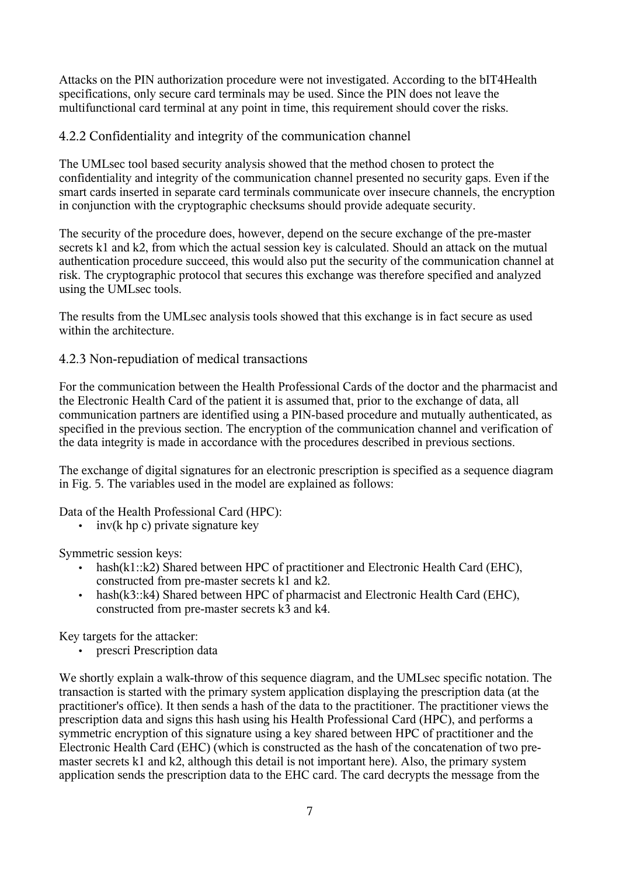Attacks on the PIN authorization procedure were not investigated. According to the bIT4Health specifications, only secure card terminals may be used. Since the PIN does not leave the multifunctional card terminal at any point in time, this requirement should cover the risks.

#### 4.2.2 Confidentiality and integrity of the communication channel

The UMLsec tool based security analysis showed that the method chosen to protect the confidentiality and integrity of the communication channel presented no security gaps. Even if the smart cards inserted in separate card terminals communicate over insecure channels, the encryption in conjunction with the cryptographic checksums should provide adequate security.

The security of the procedure does, however, depend on the secure exchange of the pre-master secrets k1 and k2, from which the actual session key is calculated. Should an attack on the mutual authentication procedure succeed, this would also put the security of the communication channel at risk. The cryptographic protocol that secures this exchange was therefore specified and analyzed using the UMLsec tools.

The results from the UMLsec analysis tools showed that this exchange is in fact secure as used within the architecture.

#### 4.2.3 Non-repudiation of medical transactions

For the communication between the Health Professional Cards of the doctor and the pharmacist and the Electronic Health Card of the patient it is assumed that, prior to the exchange of data, all communication partners are identified using a PIN-based procedure and mutually authenticated, as specified in the previous section. The encryption of the communication channel and verification of the data integrity is made in accordance with the procedures described in previous sections.

The exchange of digital signatures for an electronic prescription is specified as a sequence diagram in Fig. 5. The variables used in the model are explained as follows:

Data of the Health Professional Card (HPC):

 $\cdot$  inv(k hp c) private signature key

Symmetric session keys:

- hash(k1::k2) Shared between HPC of practitioner and Electronic Health Card (EHC), constructed from pre-master secrets k1 and k2.
- hash(k3::k4) Shared between HPC of pharmacist and Electronic Health Card (EHC), constructed from pre-master secrets k3 and k4.

Key targets for the attacker:

• prescri Prescription data

We shortly explain a walk-throw of this sequence diagram, and the UMLsec specific notation. The transaction is started with the primary system application displaying the prescription data (at the practitioner's office). It then sends a hash of the data to the practitioner. The practitioner views the prescription data and signs this hash using his Health Professional Card (HPC), and performs a symmetric encryption of this signature using a key shared between HPC of practitioner and the Electronic Health Card (EHC) (which is constructed as the hash of the concatenation of two premaster secrets k1 and k2, although this detail is not important here). Also, the primary system application sends the prescription data to the EHC card. The card decrypts the message from the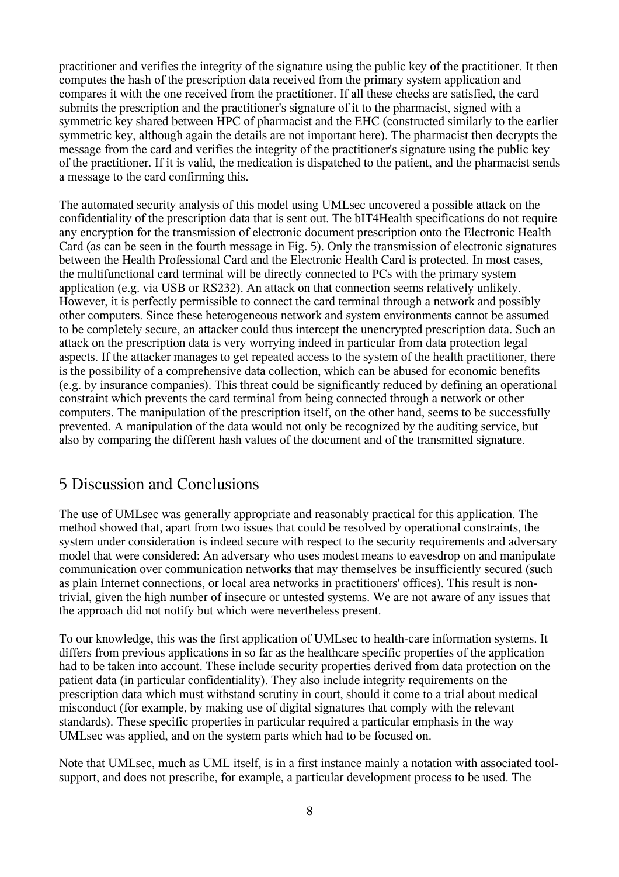practitioner and verifies the integrity of the signature using the public key of the practitioner. It then computes the hash of the prescription data received from the primary system application and compares it with the one received from the practitioner. If all these checks are satisfied, the card submits the prescription and the practitioner's signature of it to the pharmacist, signed with a symmetric key shared between HPC of pharmacist and the EHC (constructed similarly to the earlier symmetric key, although again the details are not important here). The pharmacist then decrypts the message from the card and verifies the integrity of the practitioner's signature using the public key of the practitioner. If it is valid, the medication is dispatched to the patient, and the pharmacist sends a message to the card confirming this.

The automated security analysis of this model using UMLsec uncovered a possible attack on the confidentiality of the prescription data that is sent out. The bIT4Health specifications do not require any encryption for the transmission of electronic document prescription onto the Electronic Health Card (as can be seen in the fourth message in Fig. 5). Only the transmission of electronic signatures between the Health Professional Card and the Electronic Health Card is protected. In most cases, the multifunctional card terminal will be directly connected to PCs with the primary system application (e.g. via USB or RS232). An attack on that connection seems relatively unlikely. However, it is perfectly permissible to connect the card terminal through a network and possibly other computers. Since these heterogeneous network and system environments cannot be assumed to be completely secure, an attacker could thus intercept the unencrypted prescription data. Such an attack on the prescription data is very worrying indeed in particular from data protection legal aspects. If the attacker manages to get repeated access to the system of the health practitioner, there is the possibility of a comprehensive data collection, which can be abused for economic benefits (e.g. by insurance companies). This threat could be significantly reduced by defining an operational constraint which prevents the card terminal from being connected through a network or other computers. The manipulation of the prescription itself, on the other hand, seems to be successfully prevented. A manipulation of the data would not only be recognized by the auditing service, but also by comparing the different hash values of the document and of the transmitted signature.

### 5 Discussion and Conclusions

The use of UMLsec was generally appropriate and reasonably practical for this application. The method showed that, apart from two issues that could be resolved by operational constraints, the system under consideration is indeed secure with respect to the security requirements and adversary model that were considered: An adversary who uses modest means to eavesdrop on and manipulate communication over communication networks that may themselves be insufficiently secured (such as plain Internet connections, or local area networks in practitioners' offices). This result is nontrivial, given the high number of insecure or untested systems. We are not aware of any issues that the approach did not notify but which were nevertheless present.

To our knowledge, this was the first application of UMLsec to health-care information systems. It differs from previous applications in so far as the healthcare specific properties of the application had to be taken into account. These include security properties derived from data protection on the patient data (in particular confidentiality). They also include integrity requirements on the prescription data which must withstand scrutiny in court, should it come to a trial about medical misconduct (for example, by making use of digital signatures that comply with the relevant standards). These specific properties in particular required a particular emphasis in the way UMLsec was applied, and on the system parts which had to be focused on.

Note that UMLsec, much as UML itself, is in a first instance mainly a notation with associated toolsupport, and does not prescribe, for example, a particular development process to be used. The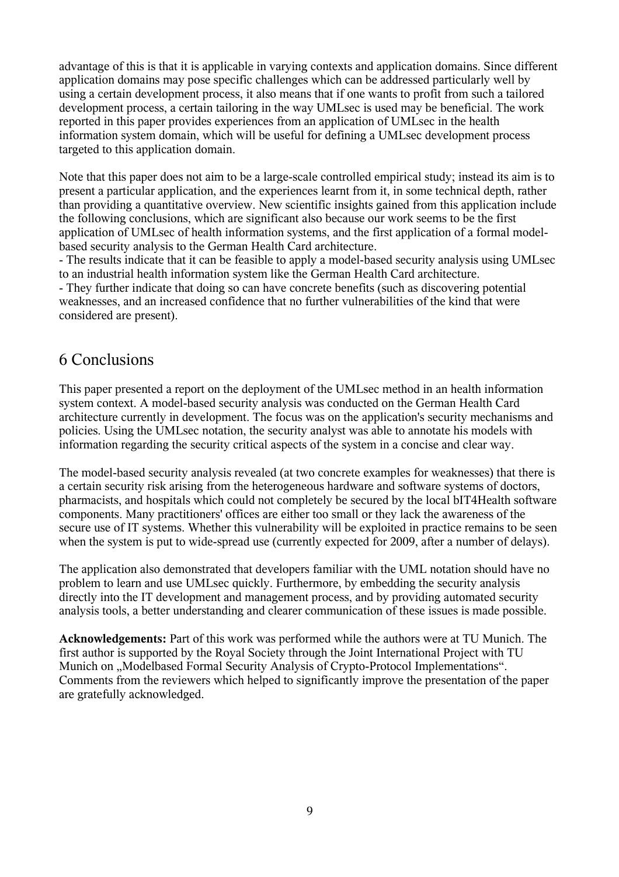advantage of this is that it is applicable in varying contexts and application domains. Since different application domains may pose specific challenges which can be addressed particularly well by using a certain development process, it also means that if one wants to profit from such a tailored development process, a certain tailoring in the way UMLsec is used may be beneficial. The work reported in this paper provides experiences from an application of UMLsec in the health information system domain, which will be useful for defining a UMLsec development process targeted to this application domain.

Note that this paper does not aim to be a large-scale controlled empirical study; instead its aim is to present a particular application, and the experiences learnt from it, in some technical depth, rather than providing a quantitative overview. New scientific insights gained from this application include the following conclusions, which are significant also because our work seems to be the first application of UMLsec of health information systems, and the first application of a formal modelbased security analysis to the German Health Card architecture.

- The results indicate that it can be feasible to apply a model-based security analysis using UMLsec to an industrial health information system like the German Health Card architecture. - They further indicate that doing so can have concrete benefits (such as discovering potential weaknesses, and an increased confidence that no further vulnerabilities of the kind that were considered are present).

### 6 Conclusions

This paper presented a report on the deployment of the UMLsec method in an health information system context. A model-based security analysis was conducted on the German Health Card architecture currently in development. The focus was on the application's security mechanisms and policies. Using the UMLsec notation, the security analyst was able to annotate his models with information regarding the security critical aspects of the system in a concise and clear way.

The model-based security analysis revealed (at two concrete examples for weaknesses) that there is a certain security risk arising from the heterogeneous hardware and software systems of doctors, pharmacists, and hospitals which could not completely be secured by the local bIT4Health software components. Many practitioners' offices are either too small or they lack the awareness of the secure use of IT systems. Whether this vulnerability will be exploited in practice remains to be seen when the system is put to wide-spread use (currently expected for 2009, after a number of delays).

The application also demonstrated that developers familiar with the UML notation should have no problem to learn and use UMLsec quickly. Furthermore, by embedding the security analysis directly into the IT development and management process, and by providing automated security analysis tools, a better understanding and clearer communication of these issues is made possible.

**Acknowledgements:** Part of this work was performed while the authors were at TU Munich. The first author is supported by the Royal Society through the Joint International Project with TU Munich on "Modelbased Formal Security Analysis of Crypto-Protocol Implementations". Comments from the reviewers which helped to significantly improve the presentation of the paper are gratefully acknowledged.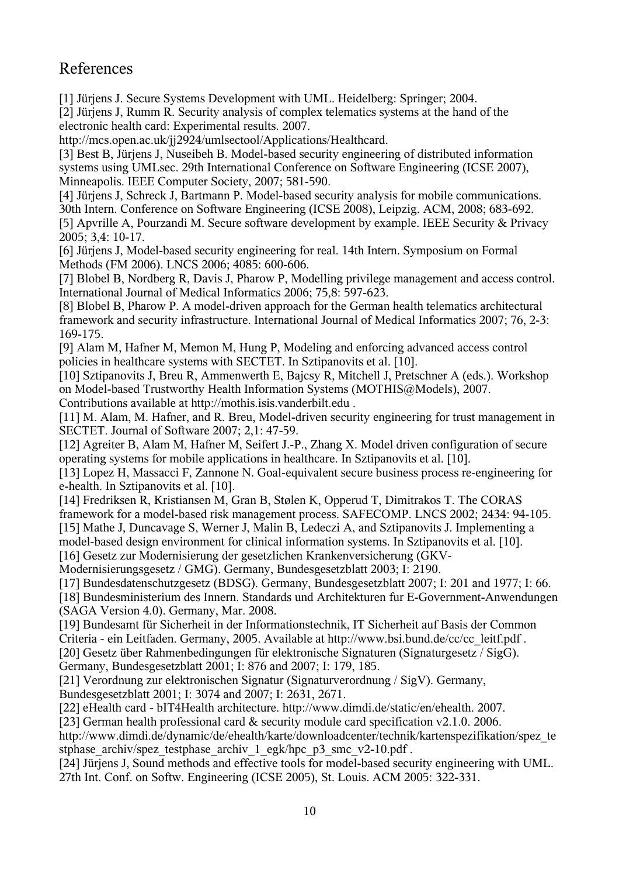## References

[1] Jürjens J. Secure Systems Development with UML. Heidelberg: Springer; 2004.

[2] Jürjens J, Rumm R. Security analysis of complex telematics systems at the hand of the electronic health card: Experimental results. 2007.

http://mcs.open.ac.uk/jj2924/umlsectool/Applications/Healthcard.

[3] Best B, Jürjens J, Nuseibeh B. Model-based security engineering of distributed information systems using UMLsec. 29th International Conference on Software Engineering (ICSE 2007), Minneapolis. IEEE Computer Society, 2007; 581-590.

[4] Jürjens J, Schreck J, Bartmann P. Model-based security analysis for mobile communications. 30th Intern. Conference on Software Engineering (ICSE 2008), Leipzig. ACM, 2008; 683-692.

[5] Apvrille A, Pourzandi M. Secure software development by example. IEEE Security & Privacy 2005; 3,4: 10-17.

[6] Jürjens J, Model-based security engineering for real. 14th Intern. Symposium on Formal Methods (FM 2006). LNCS 2006; 4085: 600-606.

[7] Blobel B, Nordberg R, Davis J, Pharow P, Modelling privilege management and access control. International Journal of Medical Informatics 2006; 75,8: 597-623.

[8] Blobel B, Pharow P. A model-driven approach for the German health telematics architectural framework and security infrastructure. International Journal of Medical Informatics 2007; 76, 2-3: 169-175.

[9] Alam M, Hafner M, Memon M, Hung P, Modeling and enforcing advanced access control policies in healthcare systems with SECTET. In Sztipanovits et al. [10].

[10] Sztipanovits J, Breu R, Ammenwerth E, Bajcsy R, Mitchell J, Pretschner A (eds.). Workshop on Model-based Trustworthy Health Information Systems (MOTHIS@Models), 2007. Contributions available at http://mothis.isis.vanderbilt.edu .

[11] M. Alam, M. Hafner, and R. Breu, Model-driven security engineering for trust management in SECTET. Journal of Software 2007; 2,1: 47-59.

[12] Agreiter B, Alam M, Hafner M, Seifert J.-P., Zhang X. Model driven configuration of secure operating systems for mobile applications in healthcare. In Sztipanovits et al. [10].

[13] Lopez H, Massacci F, Zannone N. Goal-equivalent secure business process re-engineering for e-health. In Sztipanovits et al. [10].

[14] Fredriksen R, Kristiansen M, Gran B, Stølen K, Opperud T, Dimitrakos T. The CORAS framework for a model-based risk management process. SAFECOMP. LNCS 2002; 2434: 94-105. [15] Mathe J, Duncavage S, Werner J, Malin B, Ledeczi A, and Sztipanovits J. Implementing a

model-based design environment for clinical information systems. In Sztipanovits et al. [10]. [16] Gesetz zur Modernisierung der gesetzlichen Krankenversicherung (GKV-

Modernisierungsgesetz / GMG). Germany, Bundesgesetzblatt 2003; I: 2190.

[17] Bundesdatenschutzgesetz (BDSG). Germany, Bundesgesetzblatt 2007; I: 201 and 1977; I: 66.

[18] Bundesministerium des Innern. Standards und Architekturen fur E-Government-Anwendungen (SAGA Version 4.0). Germany, Mar. 2008.

[19] Bundesamt für Sicherheit in der Informationstechnik, IT Sicherheit auf Basis der Common Criteria - ein Leitfaden. Germany, 2005. Available at http://www.bsi.bund.de/cc/cc\_leitf.pdf . [20] Gesetz über Rahmenbedingungen für elektronische Signaturen (Signaturgesetz / SigG). Germany, Bundesgesetzblatt 2001; I: 876 and 2007; I: 179, 185.

[21] Verordnung zur elektronischen Signatur (Signaturverordnung / SigV). Germany,

Bundesgesetzblatt 2001; I: 3074 and 2007; I: 2631, 2671.

[22] eHealth card - bIT4Health architecture. http://www.dimdi.de/static/en/ehealth. 2007.

[23] German health professional card & security module card specification v2.1.0. 2006.

http://www.dimdi.de/dynamic/de/ehealth/karte/downloadcenter/technik/kartenspezifikation/spez\_te stphase\_archiv/spez\_testphase\_archiv\_1\_egk/hpc\_p3\_smc\_v2-10.pdf .

[24] Jürjens J, Sound methods and effective tools for model-based security engineering with UML. 27th Int. Conf. on Softw. Engineering (ICSE 2005), St. Louis. ACM 2005: 322-331.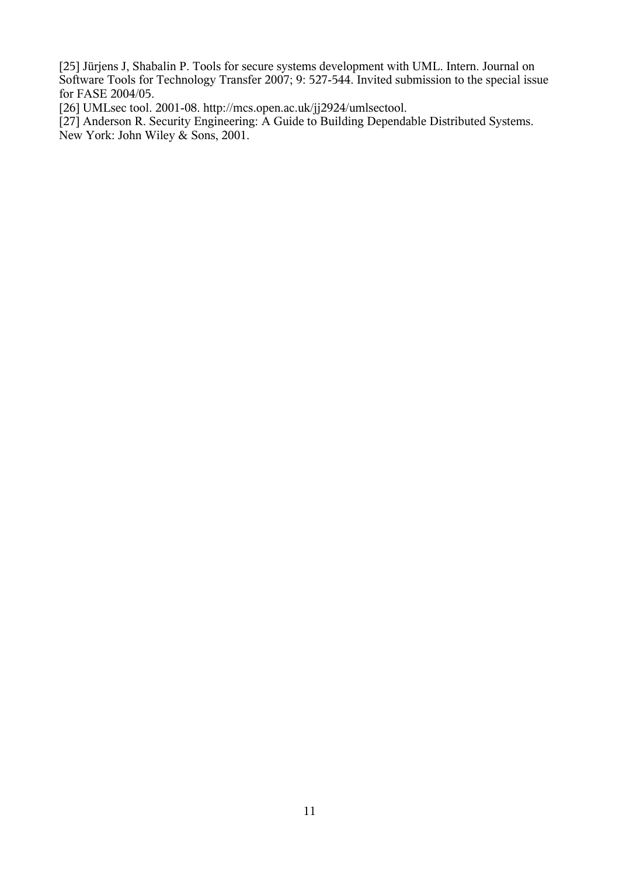[25] Jürjens J, Shabalin P. Tools for secure systems development with UML. Intern. Journal on Software Tools for Technology Transfer 2007; 9: 527-544. Invited submission to the special issue for FASE 2004/05.

[26] UMLsec tool. 2001-08. http://mcs.open.ac.uk/jj2924/umlsectool.

[27] Anderson R. Security Engineering: A Guide to Building Dependable Distributed Systems. New York: John Wiley & Sons, 2001.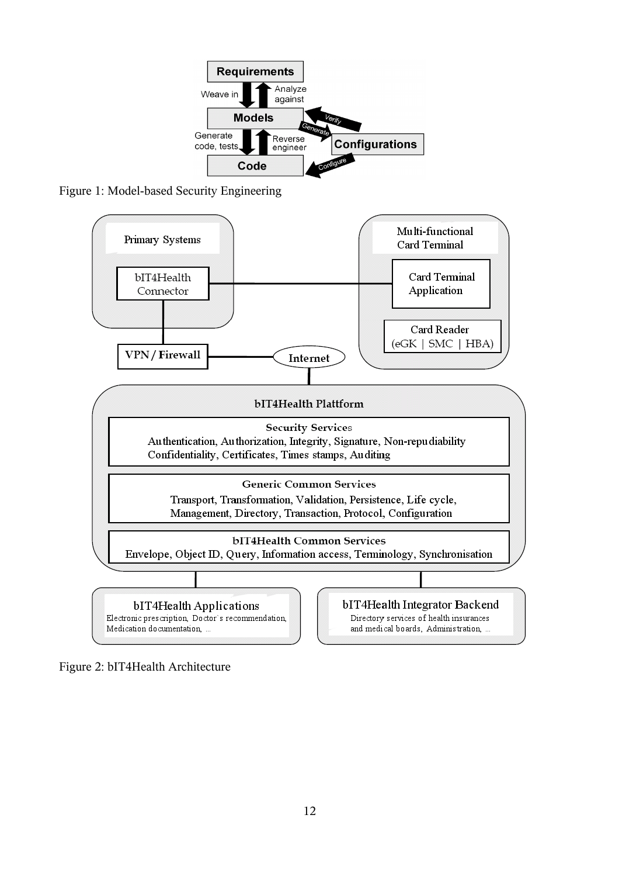

Figure 1: Model-based Security Engineering